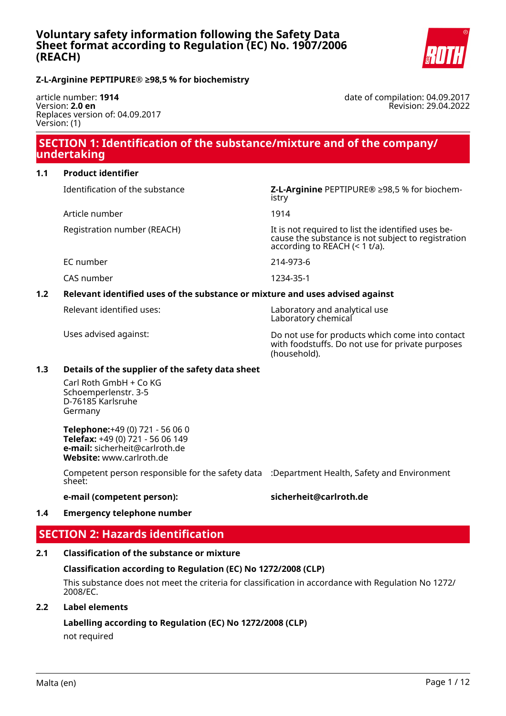

### **Z-L-Arginine PEPTIPURE® ≥98,5 % for biochemistry**

article number: **1914** Version: **2.0 en** Replaces version of: 04.09.2017 Version: (1)

date of compilation: 04.09.2017 Revision: 29.04.2022

# **SECTION 1: Identification of the substance/mixture and of the company/ undertaking**

#### **1.1 Product identifier**

Identification of the substance **Z-L-Arginine** PEPTIPURE® ≥98,5 % for biochemistry

Article number 1914

Registration number (REACH) It is not required to list the identified uses because the substance is not subject to registration according to REACH (< 1 t/a).

EC number 214-973-6

CAS number 1234-35-1

## **1.2 Relevant identified uses of the substance or mixture and uses advised against**

Relevant identified uses: Laboratory and analytical use Laboratory chemical

Uses advised against: Do not use for products which come into contact with foodstuffs. Do not use for private purposes (household).

#### **1.3 Details of the supplier of the safety data sheet**

Carl Roth GmbH + Co KG Schoemperlenstr. 3-5 D-76185 Karlsruhe Germany

**Telephone:**+49 (0) 721 - 56 06 0 **Telefax:** +49 (0) 721 - 56 06 149 **e-mail:** sicherheit@carlroth.de **Website:** www.carlroth.de

Competent person responsible for the safety data :Department Health, Safety and Environment sheet:

## **e-mail (competent person): sicherheit@carlroth.de**

#### **1.4 Emergency telephone number**

# **SECTION 2: Hazards identification**

## **2.1 Classification of the substance or mixture**

## **Classification according to Regulation (EC) No 1272/2008 (CLP)**

This substance does not meet the criteria for classification in accordance with Regulation No 1272/ 2008/EC.

#### **2.2 Label elements**

## **Labelling according to Regulation (EC) No 1272/2008 (CLP)**

not required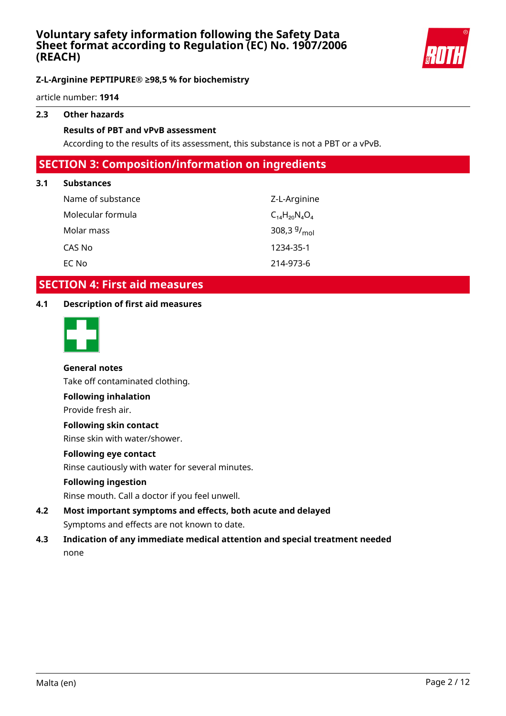

# **Z-L-Arginine PEPTIPURE® ≥98,5 % for biochemistry**

article number: **1914**

## **2.3 Other hazards**

#### **Results of PBT and vPvB assessment**

According to the results of its assessment, this substance is not a PBT or a vPvB.

# **SECTION 3: Composition/information on ingredients**

### **3.1 Substances**

| Name of substance | Z-L-Arginine              |
|-------------------|---------------------------|
| Molecular formula | $C_{14}H_{20}N_{4}O_{4}$  |
| Molar mass        | 308,3 $9/$ <sub>mol</sub> |
| CAS No            | 1234-35-1                 |
| EC No             | 214-973-6                 |

# **SECTION 4: First aid measures**

### **4.1 Description of first aid measures**



## **General notes**

Take off contaminated clothing.

#### **Following inhalation**

Provide fresh air.

#### **Following skin contact**

Rinse skin with water/shower.

#### **Following eye contact**

Rinse cautiously with water for several minutes.

#### **Following ingestion**

Rinse mouth. Call a doctor if you feel unwell.

- **4.2 Most important symptoms and effects, both acute and delayed** Symptoms and effects are not known to date.
- **4.3 Indication of any immediate medical attention and special treatment needed** none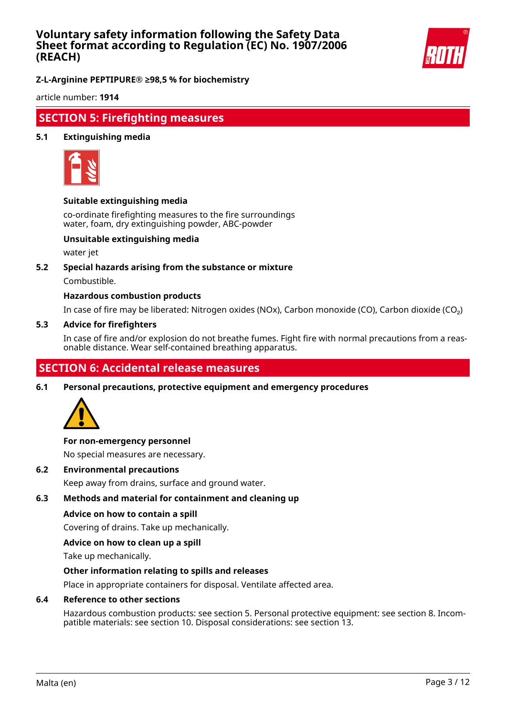

**Z-L-Arginine PEPTIPURE® ≥98,5 % for biochemistry**

article number: **1914**

# **SECTION 5: Firefighting measures**

#### **5.1 Extinguishing media**



#### **Suitable extinguishing media**

co-ordinate firefighting measures to the fire surroundings water, foam, dry extinguishing powder, ABC-powder

### **Unsuitable extinguishing media**

water jet

#### **5.2 Special hazards arising from the substance or mixture**

Combustible.

### **Hazardous combustion products**

In case of fire may be liberated: Nitrogen oxides (NOx), Carbon monoxide (CO), Carbon dioxide (CO₂)

#### **5.3 Advice for firefighters**

In case of fire and/or explosion do not breathe fumes. Fight fire with normal precautions from a reasonable distance. Wear self-contained breathing apparatus.

# **SECTION 6: Accidental release measures**

**6.1 Personal precautions, protective equipment and emergency procedures**



#### **For non-emergency personnel**

No special measures are necessary.

**6.2 Environmental precautions**

Keep away from drains, surface and ground water.

#### **6.3 Methods and material for containment and cleaning up**

#### **Advice on how to contain a spill**

Covering of drains. Take up mechanically.

#### **Advice on how to clean up a spill**

Take up mechanically.

#### **Other information relating to spills and releases**

Place in appropriate containers for disposal. Ventilate affected area.

#### **6.4 Reference to other sections**

Hazardous combustion products: see section 5. Personal protective equipment: see section 8. Incompatible materials: see section 10. Disposal considerations: see section 13.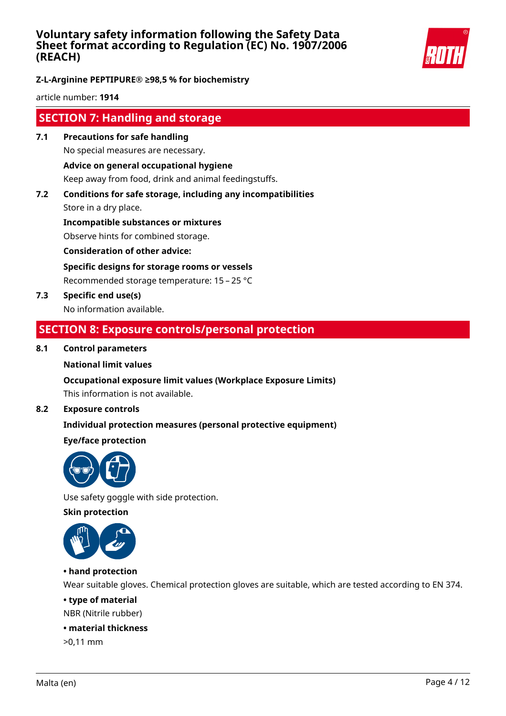

## **Z-L-Arginine PEPTIPURE® ≥98,5 % for biochemistry**

article number: **1914**

# **SECTION 7: Handling and storage**

- **7.1 Precautions for safe handling** No special measures are necessary. **Advice on general occupational hygiene** Keep away from food, drink and animal feedingstuffs.
- **7.2 Conditions for safe storage, including any incompatibilities** Store in a dry place.

**Incompatible substances or mixtures** Observe hints for combined storage.

**Consideration of other advice:**

**Specific designs for storage rooms or vessels**

Recommended storage temperature: 15 – 25 °C

**7.3 Specific end use(s)** No information available.

# **SECTION 8: Exposure controls/personal protection**

### **8.1 Control parameters**

#### **National limit values**

#### **Occupational exposure limit values (Workplace Exposure Limits)**

This information is not available.

### **8.2 Exposure controls**

## **Individual protection measures (personal protective equipment)**

#### **Eye/face protection**



Use safety goggle with side protection.

**Skin protection**



#### **• hand protection**

Wear suitable gloves. Chemical protection gloves are suitable, which are tested according to EN 374.

### **• type of material**

NBR (Nitrile rubber)

### **• material thickness**

>0,11 mm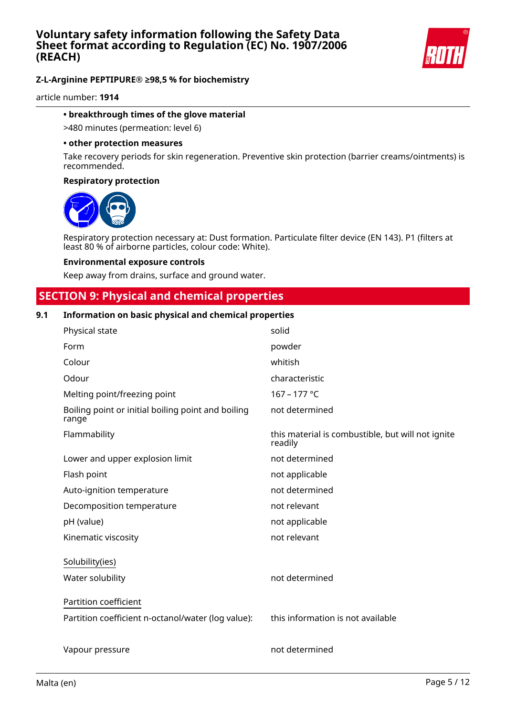

article number: **1914**

#### **• breakthrough times of the glove material**

>480 minutes (permeation: level 6)

#### **• other protection measures**

Take recovery periods for skin regeneration. Preventive skin protection (barrier creams/ointments) is recommended.

#### **Respiratory protection**



Respiratory protection necessary at: Dust formation. Particulate filter device (EN 143). P1 (filters at least 80 % of airborne particles, colour code: White).

#### **Environmental exposure controls**

Keep away from drains, surface and ground water.

# **SECTION 9: Physical and chemical properties**

#### **9.1 Information on basic physical and chemical properties**

| Physical state                                              | solid                                                        |
|-------------------------------------------------------------|--------------------------------------------------------------|
| Form                                                        | powder                                                       |
| Colour                                                      | whitish                                                      |
| Odour                                                       | characteristic                                               |
| Melting point/freezing point                                | 167 - 177 °C                                                 |
| Boiling point or initial boiling point and boiling<br>range | not determined                                               |
| Flammability                                                | this material is combustible, but will not ignite<br>readily |
| Lower and upper explosion limit                             | not determined                                               |
| Flash point                                                 | not applicable                                               |
| Auto-ignition temperature                                   | not determined                                               |
| Decomposition temperature                                   | not relevant                                                 |
| pH (value)                                                  | not applicable                                               |
| Kinematic viscosity                                         | not relevant                                                 |
| Solubility(ies)                                             |                                                              |
| Water solubility                                            | not determined                                               |
| Partition coefficient                                       |                                                              |
| Partition coefficient n-octanol/water (log value):          | this information is not available                            |
| Vapour pressure                                             | not determined                                               |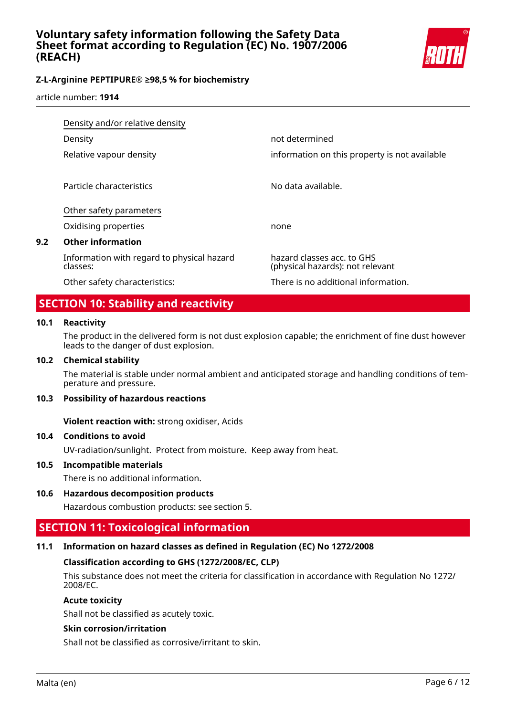

article number: **1914**

|     | Density and/or relative density                        |                                                                |
|-----|--------------------------------------------------------|----------------------------------------------------------------|
|     | Density                                                | not determined                                                 |
|     | Relative vapour density                                | information on this property is not available                  |
|     | Particle characteristics                               | No data available.                                             |
|     | Other safety parameters                                |                                                                |
|     | Oxidising properties                                   | none                                                           |
| 9.2 | <b>Other information</b>                               |                                                                |
|     | Information with regard to physical hazard<br>classes: | hazard classes acc. to GHS<br>(physical hazards): not relevant |
|     | Other safety characteristics:                          | There is no additional information.                            |

# **SECTION 10: Stability and reactivity**

#### **10.1 Reactivity**

The product in the delivered form is not dust explosion capable; the enrichment of fine dust however leads to the danger of dust explosion.

#### **10.2 Chemical stability**

The material is stable under normal ambient and anticipated storage and handling conditions of temperature and pressure.

#### **10.3 Possibility of hazardous reactions**

**Violent reaction with:** strong oxidiser, Acids

#### **10.4 Conditions to avoid**

UV-radiation/sunlight. Protect from moisture. Keep away from heat.

#### **10.5 Incompatible materials**

There is no additional information.

## **10.6 Hazardous decomposition products**

Hazardous combustion products: see section 5.

# **SECTION 11: Toxicological information**

## **11.1 Information on hazard classes as defined in Regulation (EC) No 1272/2008**

#### **Classification according to GHS (1272/2008/EC, CLP)**

This substance does not meet the criteria for classification in accordance with Regulation No 1272/ 2008/EC.

#### **Acute toxicity**

Shall not be classified as acutely toxic.

#### **Skin corrosion/irritation**

Shall not be classified as corrosive/irritant to skin.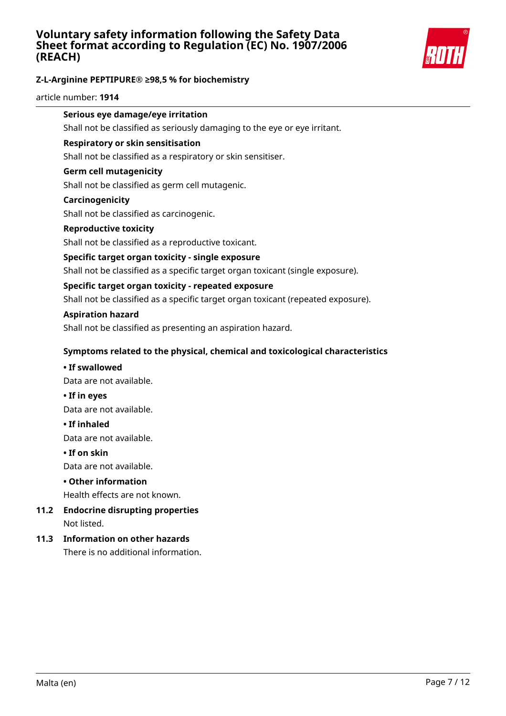

# **Z-L-Arginine PEPTIPURE® ≥98,5 % for biochemistry**

article number: **1914**

# **Serious eye damage/eye irritation**

Shall not be classified as seriously damaging to the eye or eye irritant.

#### **Respiratory or skin sensitisation**

Shall not be classified as a respiratory or skin sensitiser.

#### **Germ cell mutagenicity**

Shall not be classified as germ cell mutagenic.

#### **Carcinogenicity**

Shall not be classified as carcinogenic.

#### **Reproductive toxicity**

Shall not be classified as a reproductive toxicant.

#### **Specific target organ toxicity - single exposure**

Shall not be classified as a specific target organ toxicant (single exposure).

#### **Specific target organ toxicity - repeated exposure**

Shall not be classified as a specific target organ toxicant (repeated exposure).

#### **Aspiration hazard**

Shall not be classified as presenting an aspiration hazard.

#### **Symptoms related to the physical, chemical and toxicological characteristics**

#### **• If swallowed**

Data are not available.

**• If in eyes**

Data are not available.

#### **• If inhaled**

Data are not available.

#### **• If on skin**

Data are not available.

### **• Other information**

Health effects are not known.

# **11.2 Endocrine disrupting properties** Not listed.

#### **11.3 Information on other hazards**

There is no additional information.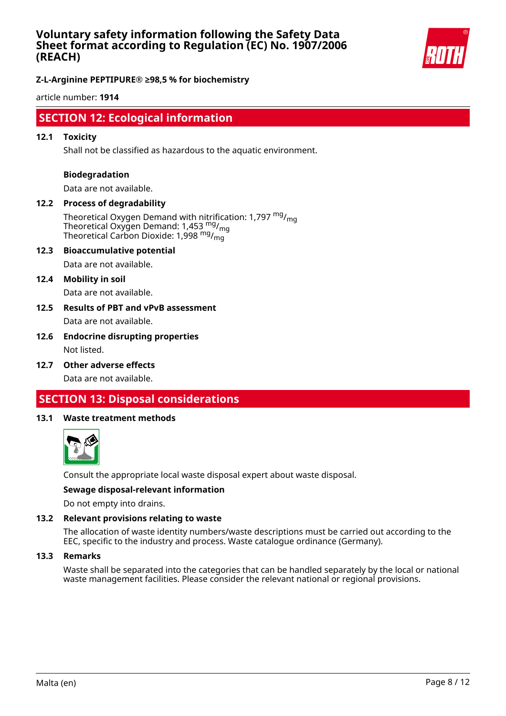

### **Z-L-Arginine PEPTIPURE® ≥98,5 % for biochemistry**

article number: **1914**

# **SECTION 12: Ecological information**

#### **12.1 Toxicity**

Shall not be classified as hazardous to the aquatic environment.

#### **Biodegradation**

Data are not available.

# **12.2 Process of degradability**

Theoretical Oxygen Demand with nitrification: 1,797  $mg/m<sub>on</sub>$ Theoretical Oxygen Demand: 1,453 mg/<sub>mg</sub> Theoretical Carbon Dioxide: 1,998 mg/mg

#### **12.3 Bioaccumulative potential**

Data are not available.

#### **12.4 Mobility in soil**

Data are not available.

### **12.5 Results of PBT and vPvB assessment** Data are not available.

### **12.6 Endocrine disrupting properties** Not listed.

**12.7 Other adverse effects**

Data are not available.

# **SECTION 13: Disposal considerations**

### **13.1 Waste treatment methods**



Consult the appropriate local waste disposal expert about waste disposal.

#### **Sewage disposal-relevant information**

Do not empty into drains.

#### **13.2 Relevant provisions relating to waste**

The allocation of waste identity numbers/waste descriptions must be carried out according to the EEC, specific to the industry and process. Waste catalogue ordinance (Germany).

#### **13.3 Remarks**

Waste shall be separated into the categories that can be handled separately by the local or national waste management facilities. Please consider the relevant national or regional provisions.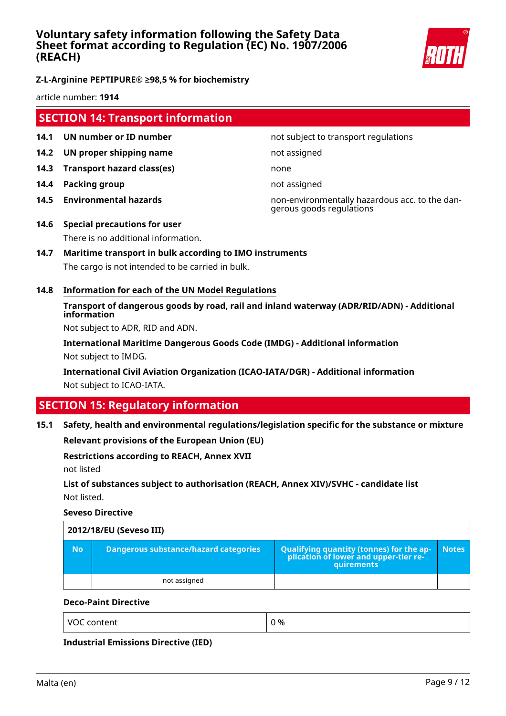

**Z-L-Arginine PEPTIPURE® ≥98,5 % for biochemistry**

article number: **1914**

# **SECTION 14: Transport information**

- **14.1 UN number or ID number not subject to transport regulations**
- **14.2 UN proper shipping name** not assigned
- **14.3 Transport hazard class(es)** none
- **14.4 Packing group not assigned**
- 

**14.5 Environmental hazards** non-environmentally hazardous acc. to the dangerous goods regulations

- **14.6 Special precautions for user** There is no additional information.
- **14.7 Maritime transport in bulk according to IMO instruments** The cargo is not intended to be carried in bulk.
- **14.8 Information for each of the UN Model Regulations**

# **Transport of dangerous goods by road, rail and inland waterway (ADR/RID/ADN) - Additional information**

Not subject to ADR, RID and ADN.

**International Maritime Dangerous Goods Code (IMDG) - Additional information** Not subject to IMDG.

**International Civil Aviation Organization (ICAO-IATA/DGR) - Additional information** Not subject to ICAO-IATA.

# **SECTION 15: Regulatory information**

#### **15.1 Safety, health and environmental regulations/legislation specific for the substance or mixture**

**Relevant provisions of the European Union (EU)**

#### **Restrictions according to REACH, Annex XVII**

not listed

## **List of substances subject to authorisation (REACH, Annex XIV)/SVHC - candidate list** Not listed.

**Seveso Directive**

| 2012/18/EU (Seveso III) |                                              |                                                                                            |              |
|-------------------------|----------------------------------------------|--------------------------------------------------------------------------------------------|--------------|
| <b>No</b>               | <b>Dangerous substance/hazard categories</b> | Qualifying quantity (tonnes) for the application of lower and upper-tier re-<br>quirements | <b>Notes</b> |
|                         | not assigned                                 |                                                                                            |              |

#### **Deco-Paint Directive**

VOC content  $\begin{array}{ccc} \vert & 0 \end{array}$ 

**Industrial Emissions Directive (IED)**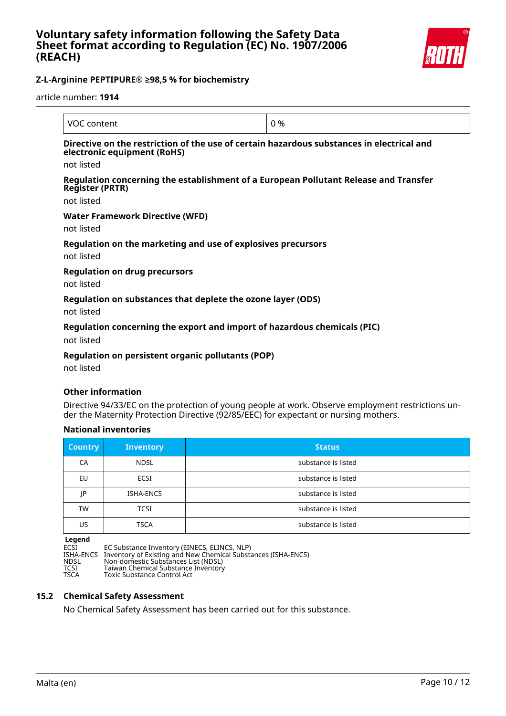

article number: **1914**

| VOC content                                                                                                                            | 0 % |
|----------------------------------------------------------------------------------------------------------------------------------------|-----|
| Directive on the restriction of the use of certain hazardous substances in electrical and<br>electronic equipment (RoHS)<br>not listed |     |
| Regulation concerning the establishment of a European Pollutant Release and Transfer<br><b>Register (PRTR)</b>                         |     |
| not listed                                                                                                                             |     |
| Water Framework Directive (WFD)<br>not listed                                                                                          |     |
| Regulation on the marketing and use of explosives precursors<br>not listed                                                             |     |
| <b>Regulation on drug precursors</b><br>not listed                                                                                     |     |
| Regulation on substances that deplete the ozone layer (ODS)<br>not listed                                                              |     |
|                                                                                                                                        |     |

### **Regulation concerning the export and import of hazardous chemicals (PIC)**

not listed

### **Regulation on persistent organic pollutants (POP)**

not listed

#### **Other information**

Directive 94/33/EC on the protection of young people at work. Observe employment restrictions under the Maternity Protection Directive (92/85/EEC) for expectant or nursing mothers.

#### **National inventories**

| <b>Country</b> | <b>Inventory</b> | <b>Status</b>       |
|----------------|------------------|---------------------|
| CA             | <b>NDSL</b>      | substance is listed |
| EU             | <b>ECSI</b>      | substance is listed |
| JP             | ISHA-ENCS        | substance is listed |
| TW             | <b>TCSI</b>      | substance is listed |
| US             | <b>TSCA</b>      | substance is listed |

**Legend**

ECSI EC Substance Inventory (EINECS, ELINCS, NLP) ISHA-ENCS Inventory of Existing and New Chemical Substances (ISHA-ENCS) NDSL Non-domestic Substances List (NDSL) TESHA-ENCS Inventory of Existing and New Chemic<br>
NDSL Non-domestic Substances List (NDSL)<br>
TCSI Taiwan Chemical Substance Inventory<br>
TSCA Toxic Substance Control Act Toxic Substance Control Act

## **15.2 Chemical Safety Assessment**

No Chemical Safety Assessment has been carried out for this substance.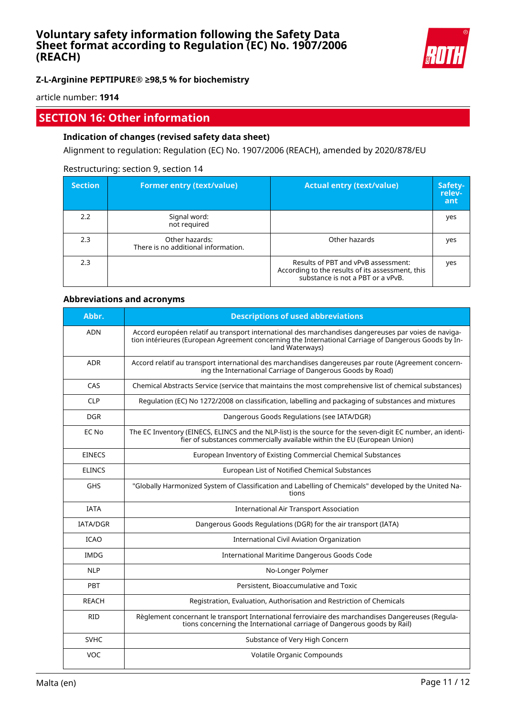

## **Z-L-Arginine PEPTIPURE® ≥98,5 % for biochemistry**

article number: **1914**

# **SECTION 16: Other information**

## **Indication of changes (revised safety data sheet)**

Alignment to regulation: Regulation (EC) No. 1907/2006 (REACH), amended by 2020/878/EU

#### Restructuring: section 9, section 14

| <b>Section</b> | <b>Former entry (text/value)</b>                      | <b>Actual entry (text/value)</b>                                                                                             | Safety-<br>relev-<br>ant |
|----------------|-------------------------------------------------------|------------------------------------------------------------------------------------------------------------------------------|--------------------------|
| 2.2            | Signal word:<br>not required                          |                                                                                                                              | yes                      |
| 2.3            | Other hazards:<br>There is no additional information. | Other hazards                                                                                                                | yes                      |
| 2.3            |                                                       | Results of PBT and vPvB assessment:<br>According to the results of its assessment, this<br>substance is not a PBT or a vPvB. | yes                      |

#### **Abbreviations and acronyms**

| Abbr.           | <b>Descriptions of used abbreviations</b>                                                                                                                                                                                       |
|-----------------|---------------------------------------------------------------------------------------------------------------------------------------------------------------------------------------------------------------------------------|
| <b>ADN</b>      | Accord européen relatif au transport international des marchandises dangereuses par voies de naviga-<br>tion intérieures (European Agreement concerning the International Carriage of Dangerous Goods by In-<br>land Waterways) |
| <b>ADR</b>      | Accord relatif au transport international des marchandises dangereuses par route (Agreement concern-<br>ing the International Carriage of Dangerous Goods by Road)                                                              |
| CAS             | Chemical Abstracts Service (service that maintains the most comprehensive list of chemical substances)                                                                                                                          |
| <b>CLP</b>      | Regulation (EC) No 1272/2008 on classification, labelling and packaging of substances and mixtures                                                                                                                              |
| <b>DGR</b>      | Dangerous Goods Regulations (see IATA/DGR)                                                                                                                                                                                      |
| EC No           | The EC Inventory (EINECS, ELINCS and the NLP-list) is the source for the seven-digit EC number, an identi-<br>fier of substances commercially available within the EU (European Union)                                          |
| <b>EINECS</b>   | European Inventory of Existing Commercial Chemical Substances                                                                                                                                                                   |
| <b>ELINCS</b>   | European List of Notified Chemical Substances                                                                                                                                                                                   |
| <b>GHS</b>      | "Globally Harmonized System of Classification and Labelling of Chemicals" developed by the United Na-<br>tions                                                                                                                  |
| <b>IATA</b>     | <b>International Air Transport Association</b>                                                                                                                                                                                  |
| <b>IATA/DGR</b> | Dangerous Goods Regulations (DGR) for the air transport (IATA)                                                                                                                                                                  |
| <b>ICAO</b>     | International Civil Aviation Organization                                                                                                                                                                                       |
| <b>IMDG</b>     | International Maritime Dangerous Goods Code                                                                                                                                                                                     |
| <b>NLP</b>      | No-Longer Polymer                                                                                                                                                                                                               |
| PBT             | Persistent, Bioaccumulative and Toxic                                                                                                                                                                                           |
| <b>REACH</b>    | Registration, Evaluation, Authorisation and Restriction of Chemicals                                                                                                                                                            |
| <b>RID</b>      | Règlement concernant le transport International ferroviaire des marchandises Dangereuses (Regula-<br>tions concerning the International carriage of Dangerous goods by Rail)                                                    |
| <b>SVHC</b>     | Substance of Very High Concern                                                                                                                                                                                                  |
| <b>VOC</b>      | Volatile Organic Compounds                                                                                                                                                                                                      |